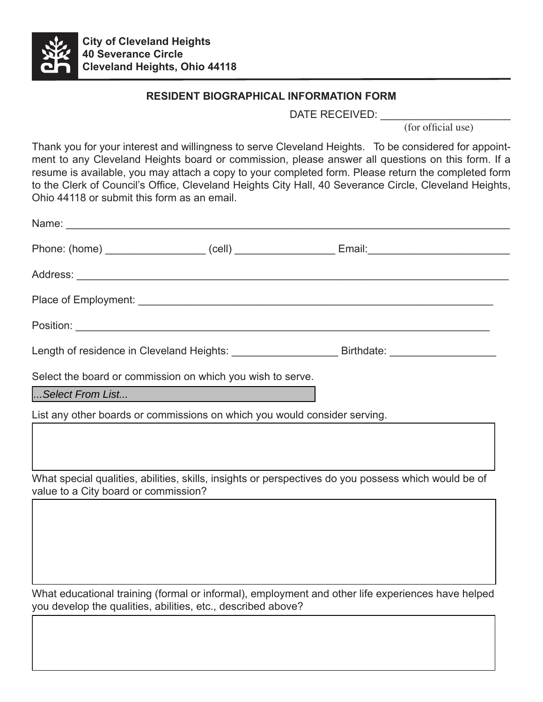

## **RESIDENT BIOGRAPHICAL INFORMATION FORM**

DATE RECEIVED: \_\_\_\_\_

 (for official use)

Thank you for your interest and willingness to serve Cleveland Heights. To be considered for appointment to any Cleveland Heights board or commission, please answer all questions on this form. If a resume is available, you may attach a copy to your completed form. Please return the completed form to the Clerk of Council's Office, Cleveland Heights City Hall, 40 Severance Circle, Cleveland Heights, Ohio 44118 or submit this form as an email.

|                                                                           | Length of residence in Cleveland Heights: _____________________________Birthdate: __________________ |
|---------------------------------------------------------------------------|------------------------------------------------------------------------------------------------------|
| Select the board or commission on which you wish to serve.                |                                                                                                      |
| Select From List                                                          |                                                                                                      |
| List any other boards or commissions on which you would consider serving. |                                                                                                      |
|                                                                           |                                                                                                      |
| value to a City board or commission?                                      | What special qualities, abilities, skills, insights or perspectives do you possess which would be of |
|                                                                           |                                                                                                      |
|                                                                           |                                                                                                      |
|                                                                           |                                                                                                      |

What educational training (formal or informal), employment and other life experiences have helped you develop the qualities, abilities, etc., described above?